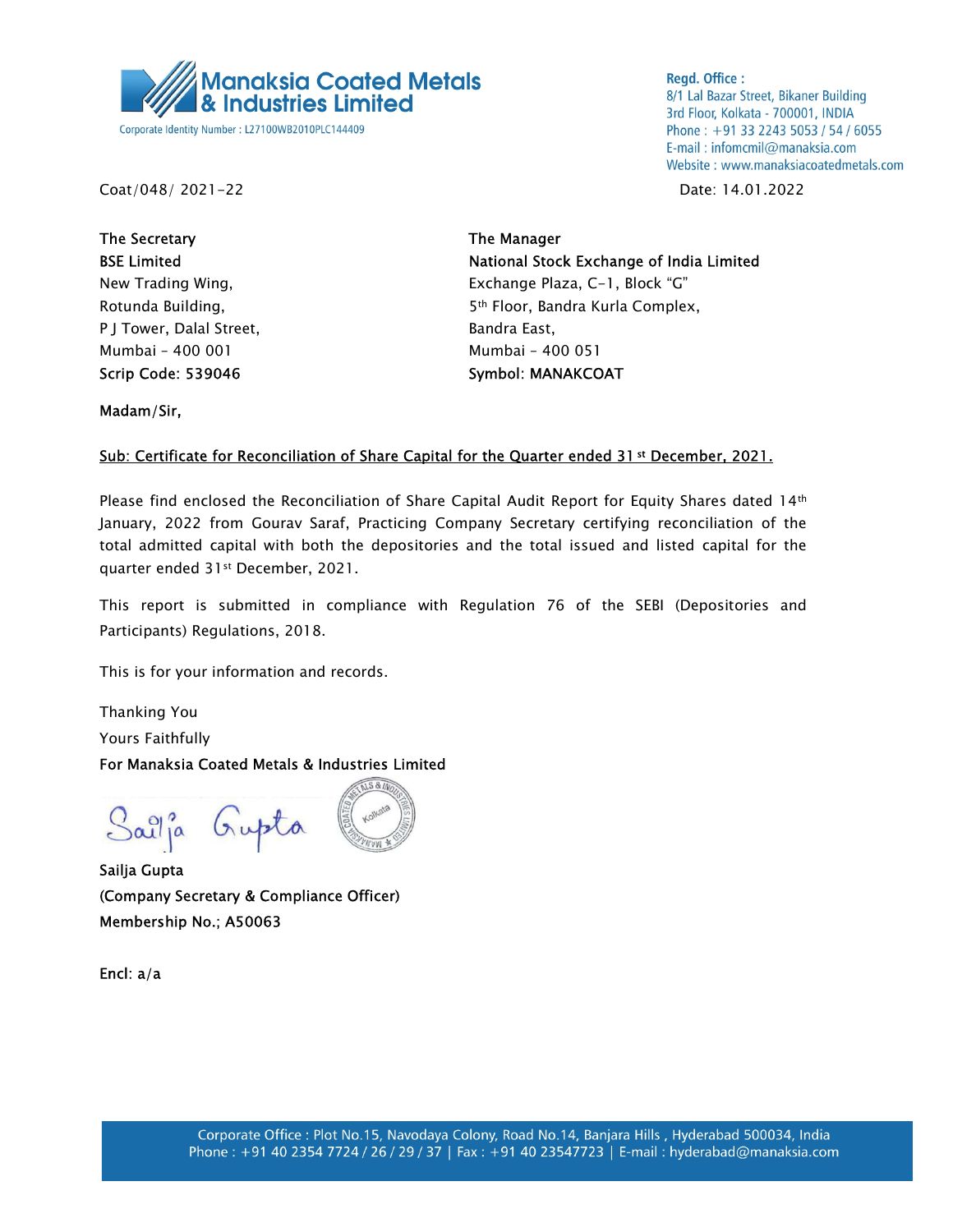

**Regd. Office:** 8/1 Lal Bazar Street, Bikaner Building 3rd Floor, Kolkata - 700001, INDIA Phone: +91 33 2243 5053 / 54 / 6055 E-mail: infomcmil@manaksia.com Website: www.manaksiacoatedmetals.com

Coat/048/ 2021-22 Date: 14.01.2022

The Secretary **The Manager** The Manager P J Tower, Dalal Street, Bandra East, Mumbai – 400 001 Mumbai – 400 051 Scrip Code: 539046 Symbol: MANAKCOAT

BSE Limited **National Stock Exchange of India Limited** New Trading Wing, The Communication of the Exchange Plaza, C-1, Block "G" Rotunda Building, The State of the State of Sth Floor, Bandra Kurla Complex,

Madam/Sir,

## Sub: Certificate for Reconciliation of Share Capital for the Quarter ended 31st December, 2021.

Please find enclosed the Reconciliation of Share Capital Audit Report for Equity Shares dated 14<sup>th</sup> January, 2022 from Gourav Saraf, Practicing Company Secretary certifying reconciliation of the total admitted capital with both the depositories and the total issued and listed capital for the quarter ended 31st December, 2021.

This report is submitted in compliance with Regulation 76 of the SEBI (Depositories and Participants) Regulations, 2018.

This is for your information and records.

Thanking You Yours Faithfully

For Manaksia Coated Metals & Industries Limited

Sailja Gupta

Sailja Gupta (Company Secretary & Compliance Officer) Membership No.; A50063

Encl: a/a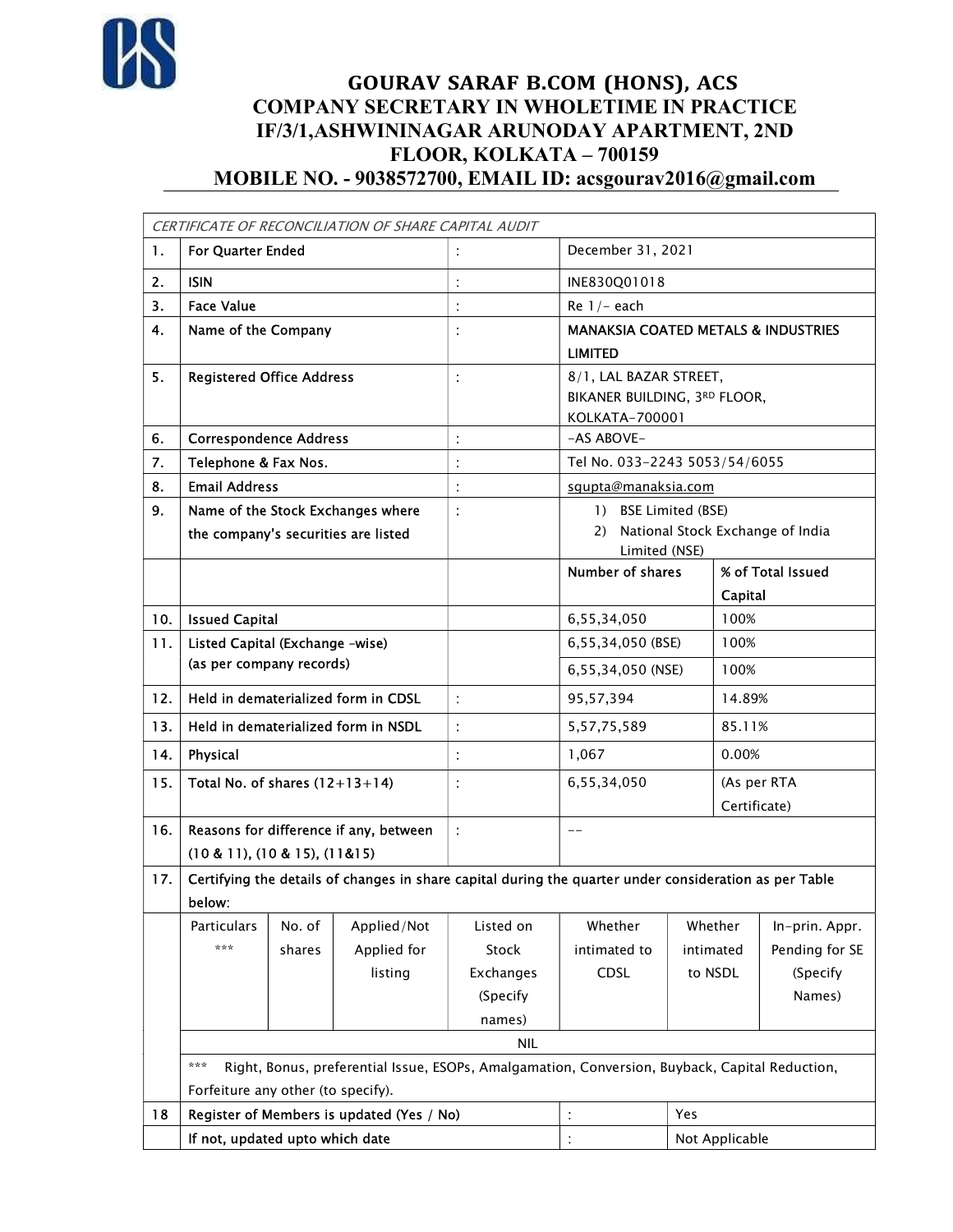

## GOURAV SARAF B.COM (HONS), ACS COMPANY SECRETARY IN WHOLETIME IN PRACTICE IF/3/1, ASHWININAGAR ARUNODAY APARTMENT, 2ND FLOOR, KOLKATA – 700159 MOBILE NO. - 9038572700, EMAIL ID: acsgourav2016@gmail.com

|      |                                                       |                                                                                                        | CERTIFICATE OF RECONCILIATION OF SHARE CAPITAL AUDIT |           |                                                                                                |                                                   |                   |                |  |  |  |
|------|-------------------------------------------------------|--------------------------------------------------------------------------------------------------------|------------------------------------------------------|-----------|------------------------------------------------------------------------------------------------|---------------------------------------------------|-------------------|----------------|--|--|--|
| 1.   | <b>For Quarter Ended</b>                              |                                                                                                        |                                                      |           | December 31, 2021                                                                              |                                                   |                   |                |  |  |  |
| 2.   | <b>ISIN</b>                                           |                                                                                                        |                                                      |           | INE830Q01018                                                                                   |                                                   |                   |                |  |  |  |
| 3.   | <b>Face Value</b>                                     |                                                                                                        |                                                      |           | Re $1/-$ each                                                                                  |                                                   |                   |                |  |  |  |
| 4.   | Name of the Company                                   |                                                                                                        |                                                      |           | <b>MANAKSIA COATED METALS &amp; INDUSTRIES</b><br><b>LIMITED</b>                               |                                                   |                   |                |  |  |  |
|      |                                                       |                                                                                                        |                                                      |           |                                                                                                |                                                   |                   |                |  |  |  |
| 5.   | <b>Registered Office Address</b>                      |                                                                                                        |                                                      |           | 8/1, LAL BAZAR STREET,                                                                         |                                                   |                   |                |  |  |  |
|      |                                                       |                                                                                                        |                                                      |           |                                                                                                | BIKANER BUILDING, 3RD FLOOR,<br>KOLKATA-700001    |                   |                |  |  |  |
| 6.   | <b>Correspondence Address</b>                         |                                                                                                        |                                                      |           | -AS ABOVE-                                                                                     |                                                   |                   |                |  |  |  |
| 7.   | Telephone & Fax Nos.                                  |                                                                                                        |                                                      |           | Tel No. 033-2243 5053/54/6055                                                                  |                                                   |                   |                |  |  |  |
| 8.   | <b>Email Address</b>                                  |                                                                                                        |                                                      |           | sgupta@manaksia.com                                                                            |                                                   |                   |                |  |  |  |
| 9.   | Name of the Stock Exchanges where                     |                                                                                                        |                                                      |           | 1) BSE Limited (BSE)                                                                           |                                                   |                   |                |  |  |  |
|      | the company's securities are listed                   |                                                                                                        |                                                      |           | 2)                                                                                             | National Stock Exchange of India<br>Limited (NSE) |                   |                |  |  |  |
|      |                                                       |                                                                                                        |                                                      |           | <b>Number of shares</b>                                                                        |                                                   | % of Total Issued |                |  |  |  |
|      |                                                       |                                                                                                        |                                                      |           |                                                                                                |                                                   | Capital           |                |  |  |  |
| 10.1 | <b>Issued Capital</b>                                 |                                                                                                        |                                                      |           | 6,55,34,050                                                                                    |                                                   | 100%              |                |  |  |  |
| 11.  | Listed Capital (Exchange -wise)                       |                                                                                                        |                                                      |           | 6,55,34,050 (BSE)                                                                              |                                                   | 100%              |                |  |  |  |
|      | (as per company records)                              |                                                                                                        |                                                      |           | 6,55,34,050 (NSE)                                                                              |                                                   | 100%              |                |  |  |  |
| 12.  | Held in dematerialized form in CDSL                   |                                                                                                        |                                                      |           | 95,57,394                                                                                      |                                                   | 14.89%            |                |  |  |  |
| 13.  | Held in dematerialized form in NSDL                   |                                                                                                        |                                                      |           | 5, 57, 75, 589                                                                                 |                                                   | 85.11%            |                |  |  |  |
| 14.  | Physical                                              |                                                                                                        |                                                      |           | 1,067                                                                                          |                                                   | 0.00%             |                |  |  |  |
| 15.  | Total No. of shares $(12+13+14)$                      |                                                                                                        |                                                      |           | 6,55,34,050                                                                                    |                                                   | (As per RTA       |                |  |  |  |
|      |                                                       |                                                                                                        |                                                      |           |                                                                                                |                                                   | Certificate)      |                |  |  |  |
| 16.  | Reasons for difference if any, between                |                                                                                                        |                                                      |           | $-$                                                                                            |                                                   |                   |                |  |  |  |
|      | $(10 & 11)$ , $(10 & 15)$ , $(11 & 15)$               |                                                                                                        |                                                      |           |                                                                                                |                                                   |                   |                |  |  |  |
| 17.  | below:                                                | Certifying the details of changes in share capital during the quarter under consideration as per Table |                                                      |           |                                                                                                |                                                   |                   |                |  |  |  |
|      | No. of<br>Particulars                                 |                                                                                                        | Applied/Not                                          | Listed on | Whether                                                                                        | Whether                                           |                   | In-prin. Appr. |  |  |  |
|      | ***                                                   | shares                                                                                                 | Applied for                                          | Stock     | intimated to                                                                                   | intimated                                         |                   | Pending for SE |  |  |  |
|      |                                                       |                                                                                                        | listing                                              | Exchanges | CDSL                                                                                           | to NSDL                                           |                   | (Specify       |  |  |  |
|      |                                                       |                                                                                                        |                                                      | (Specify  |                                                                                                |                                                   |                   | Names)         |  |  |  |
|      |                                                       |                                                                                                        |                                                      | names)    |                                                                                                |                                                   |                   |                |  |  |  |
|      |                                                       | <b>NIL</b>                                                                                             |                                                      |           |                                                                                                |                                                   |                   |                |  |  |  |
|      | ***                                                   |                                                                                                        |                                                      |           | Right, Bonus, preferential Issue, ESOPs, Amalgamation, Conversion, Buyback, Capital Reduction, |                                                   |                   |                |  |  |  |
|      |                                                       | Forfeiture any other (to specify).                                                                     |                                                      |           |                                                                                                |                                                   |                   |                |  |  |  |
| 18   | Register of Members is updated (Yes / No)<br>Yes<br>t |                                                                                                        |                                                      |           |                                                                                                |                                                   |                   |                |  |  |  |
|      | If not, updated upto which date                       |                                                                                                        |                                                      |           | Not Applicable                                                                                 |                                                   |                   |                |  |  |  |